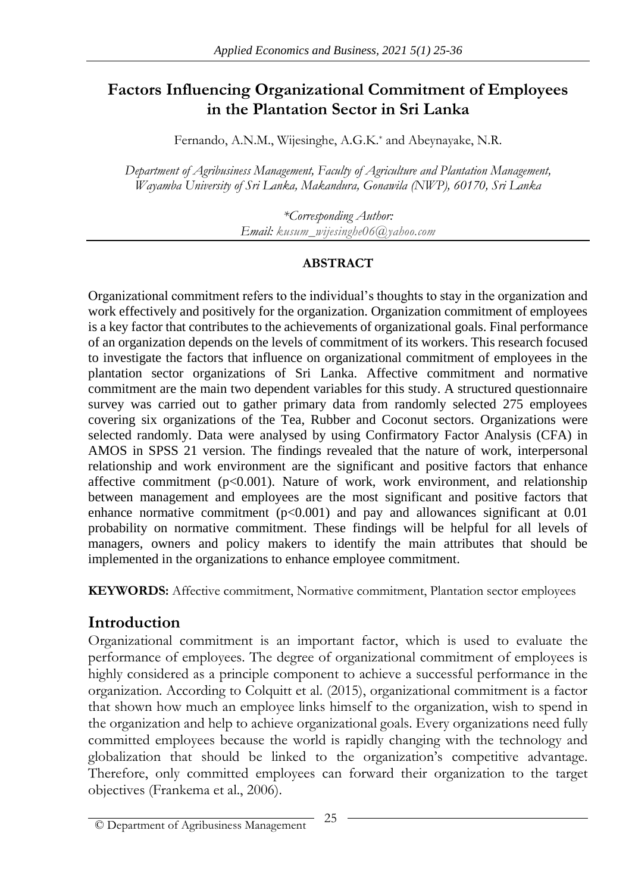# **Factors Influencing Organizational Commitment of Employees in the Plantation Sector in Sri Lanka**

Fernando, A.N.M., Wijesinghe, A.G.K.\* and Abeynayake, N.R.

*Department of Agribusiness Management, Faculty of Agriculture and Plantation Management, Wayamba University of Sri Lanka, Makandura, Gonawila (NWP), 60170, Sri Lanka*

> *\*Corresponding Author: Email: kusum\_wijesinghe06@yahoo.com*

#### **ABSTRACT**

Organizational commitment refers to the individual's thoughts to stay in the organization and work effectively and positively for the organization. Organization commitment of employees is a key factor that contributes to the achievements of organizational goals. Final performance of an organization depends on the levels of commitment of its workers. This research focused to investigate the factors that influence on organizational commitment of employees in the plantation sector organizations of Sri Lanka. Affective commitment and normative commitment are the main two dependent variables for this study. A structured questionnaire survey was carried out to gather primary data from randomly selected 275 employees covering six organizations of the Tea, Rubber and Coconut sectors. Organizations were selected randomly. Data were analysed by using Confirmatory Factor Analysis (CFA) in AMOS in SPSS 21 version. The findings revealed that the nature of work, interpersonal relationship and work environment are the significant and positive factors that enhance affective commitment ( $p<0.001$ ). Nature of work, work environment, and relationship between management and employees are the most significant and positive factors that enhance normative commitment  $(p<0.001)$  and pay and allowances significant at 0.01 probability on normative commitment. These findings will be helpful for all levels of managers, owners and policy makers to identify the main attributes that should be implemented in the organizations to enhance employee commitment.

**KEYWORDS:** Affective commitment, Normative commitment, Plantation sector employees

# **Introduction**

Organizational commitment is an important factor, which is used to evaluate the performance of employees. The degree of organizational commitment of employees is highly considered as a principle component to achieve a successful performance in the organization. According to Colquitt et al. (2015), organizational commitment is a factor that shown how much an employee links himself to the organization, wish to spend in the organization and help to achieve organizational goals. Every organizations need fully committed employees because the world is rapidly changing with the technology and globalization that should be linked to the organization's competitive advantage. Therefore, only committed employees can forward their organization to the target objectives (Frankema et al., 2006).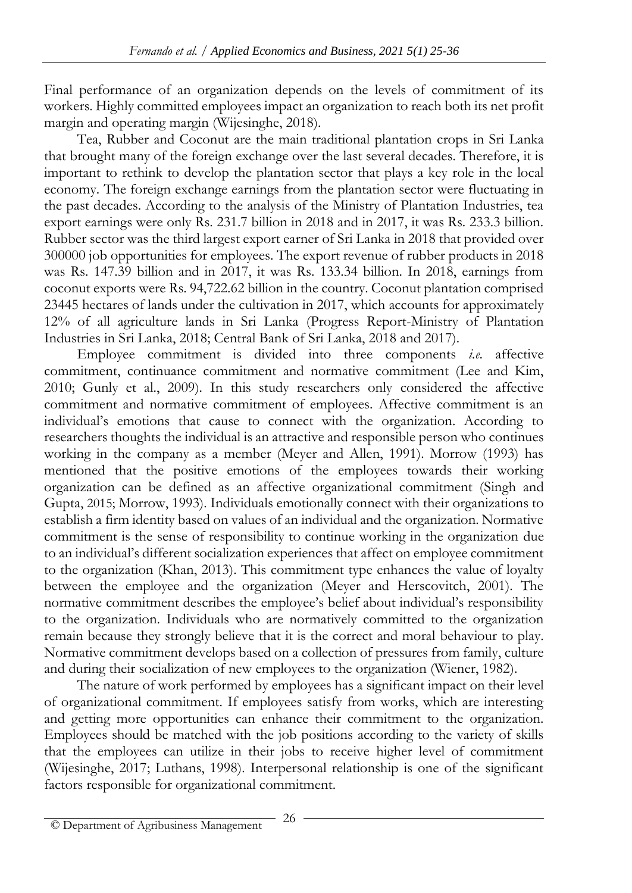Final performance of an organization depends on the levels of commitment of its workers. Highly committed employees impact an organization to reach both its net profit margin and operating margin (Wijesinghe, 2018).

Tea, Rubber and Coconut are the main traditional plantation crops in Sri Lanka that brought many of the foreign exchange over the last several decades. Therefore, it is important to rethink to develop the plantation sector that plays a key role in the local economy. The foreign exchange earnings from the plantation sector were fluctuating in the past decades. According to the analysis of the Ministry of Plantation Industries, tea export earnings were only Rs. 231.7 billion in 2018 and in 2017, it was Rs. 233.3 billion. Rubber sector was the third largest export earner of Sri Lanka in 2018 that provided over 300000 job opportunities for employees. The export revenue of rubber products in 2018 was Rs. 147.39 billion and in 2017, it was Rs. 133.34 billion. In 2018, earnings from coconut exports were Rs. 94,722.62 billion in the country. Coconut plantation comprised 23445 hectares of lands under the cultivation in 2017, which accounts for approximately 12% of all agriculture lands in Sri Lanka (Progress Report-Ministry of Plantation Industries in Sri Lanka, 2018; Central Bank of Sri Lanka, 2018 and 2017).

Employee commitment is divided into three components *i.e.* affective commitment, continuance commitment and normative commitment (Lee and Kim, 2010; Gunly et al., 2009). In this study researchers only considered the affective commitment and normative commitment of employees. Affective commitment is an individual's emotions that cause to connect with the organization. According to researchers thoughts the individual is an attractive and responsible person who continues working in the company as a member (Meyer and Allen, 1991). Morrow (1993) has mentioned that the positive emotions of the employees towards their working organization can be defined as an affective organizational commitment (Singh and Gupta, 2015; Morrow, 1993). Individuals emotionally connect with their organizations to establish a firm identity based on values of an individual and the organization. Normative commitment is the sense of responsibility to continue working in the organization due to an individual's different socialization experiences that affect on employee commitment to the organization (Khan, 2013). This commitment type enhances the value of loyalty between the employee and the organization (Meyer and Herscovitch, 2001). The normative commitment describes the employee's belief about individual's responsibility to the organization. Individuals who are normatively committed to the organization remain because they strongly believe that it is the correct and moral behaviour to play. Normative commitment develops based on a collection of pressures from family, culture and during their socialization of new employees to the organization (Wiener, 1982).

The nature of work performed by employees has a significant impact on their level of organizational commitment. If employees satisfy from works, which are interesting and getting more opportunities can enhance their commitment to the organization. Employees should be matched with the job positions according to the variety of skills that the employees can utilize in their jobs to receive higher level of commitment (Wijesinghe, 2017; Luthans, 1998). Interpersonal relationship is one of the significant factors responsible for organizational commitment.

<sup>26</sup> © Department of Agribusiness Management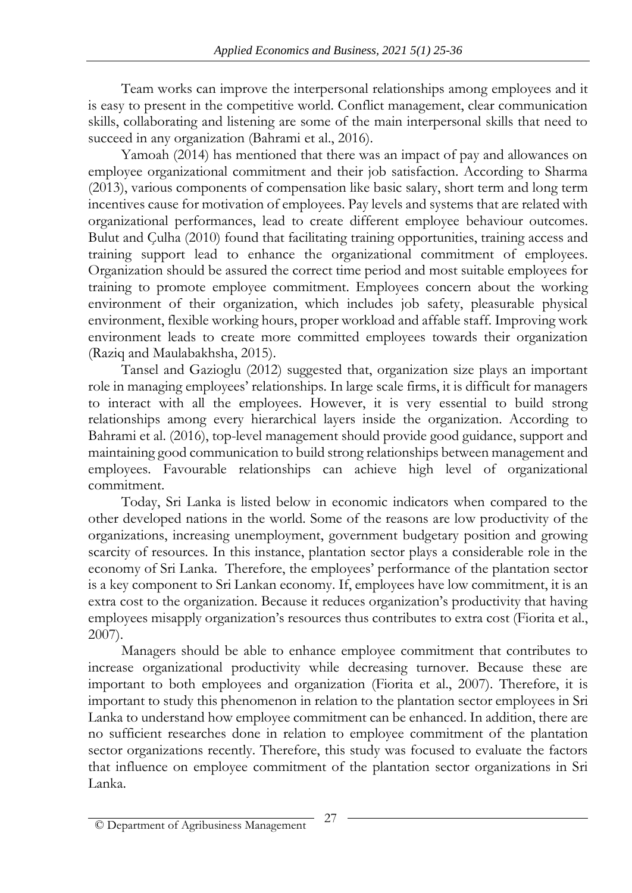Team works can improve the interpersonal relationships among employees and it is easy to present in the competitive world. Conflict management, clear communication skills, collaborating and listening are some of the main interpersonal skills that need to succeed in any organization (Bahrami et al., 2016).

Yamoah (2014) has mentioned that there was an impact of pay and allowances on employee organizational commitment and their job satisfaction. According to Sharma (2013), various components of compensation like basic salary, short term and long term incentives cause for motivation of employees. Pay levels and systems that are related with organizational performances, lead to create different employee behaviour outcomes. Bulut and Çulha (2010) found that facilitating training opportunities, training access and training support lead to enhance the organizational commitment of employees. Organization should be assured the correct time period and most suitable employees for training to promote employee commitment. Employees concern about the working environment of their organization, which includes job safety, pleasurable physical environment, flexible working hours, proper workload and affable staff. Improving work environment leads to create more committed employees towards their organization (Raziq and Maulabakhsha, 2015).

Tansel and Gazioglu (2012) suggested that, organization size plays an important role in managing employees' relationships. In large scale firms, it is difficult for managers to interact with all the employees. However, it is very essential to build strong relationships among every hierarchical layers inside the organization. According to Bahrami et al. (2016), top-level management should provide good guidance, support and maintaining good communication to build strong relationships between management and employees. Favourable relationships can achieve high level of organizational commitment.

Today, Sri Lanka is listed below in economic indicators when compared to the other developed nations in the world. Some of the reasons are low productivity of the organizations, increasing unemployment, government budgetary position and growing scarcity of resources. In this instance, plantation sector plays a considerable role in the economy of Sri Lanka. Therefore, the employees' performance of the plantation sector is a key component to Sri Lankan economy. If, employees have low commitment, it is an extra cost to the organization. Because it reduces organization's productivity that having employees misapply organization's resources thus contributes to extra cost (Fiorita et al., 2007).

Managers should be able to enhance employee commitment that contributes to increase organizational productivity while decreasing turnover. Because these are important to both employees and organization (Fiorita et al., 2007). Therefore, it is important to study this phenomenon in relation to the plantation sector employees in Sri Lanka to understand how employee commitment can be enhanced. In addition, there are no sufficient researches done in relation to employee commitment of the plantation sector organizations recently. Therefore, this study was focused to evaluate the factors that influence on employee commitment of the plantation sector organizations in Sri Lanka.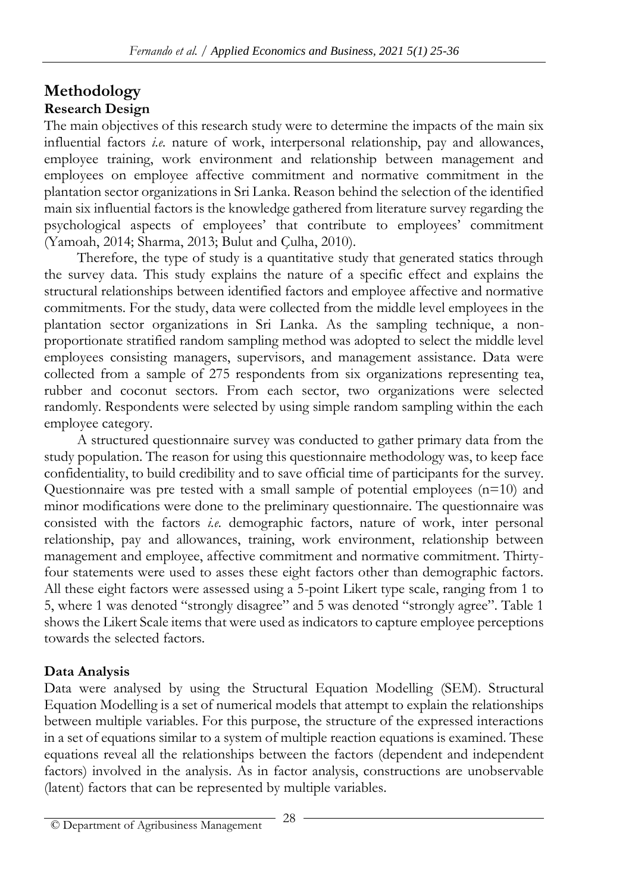#### **Methodology Research Design**

The main objectives of this research study were to determine the impacts of the main six influential factors *i.e.* nature of work, interpersonal relationship, pay and allowances, employee training, work environment and relationship between management and employees on employee affective commitment and normative commitment in the plantation sector organizations in Sri Lanka. Reason behind the selection of the identified main six influential factors is the knowledge gathered from literature survey regarding the psychological aspects of employees' that contribute to employees' commitment (Yamoah, 2014; Sharma, 2013; Bulut and Çulha, 2010).

Therefore, the type of study is a quantitative study that generated statics through the survey data. This study explains the nature of a specific effect and explains the structural relationships between identified factors and employee affective and normative commitments. For the study, data were collected from the middle level employees in the plantation sector organizations in Sri Lanka. As the sampling technique, a nonproportionate stratified random sampling method was adopted to select the middle level employees consisting managers, supervisors, and management assistance. Data were collected from a sample of 275 respondents from six organizations representing tea, rubber and coconut sectors. From each sector, two organizations were selected randomly. Respondents were selected by using simple random sampling within the each employee category.

A structured questionnaire survey was conducted to gather primary data from the study population. The reason for using this questionnaire methodology was, to keep face confidentiality, to build credibility and to save official time of participants for the survey. Questionnaire was pre tested with a small sample of potential employees (n=10) and minor modifications were done to the preliminary questionnaire. The questionnaire was consisted with the factors *i.e.* demographic factors, nature of work, inter personal relationship, pay and allowances, training, work environment, relationship between management and employee, affective commitment and normative commitment. Thirtyfour statements were used to asses these eight factors other than demographic factors. All these eight factors were assessed using a 5-point Likert type scale, ranging from 1 to 5, where 1 was denoted "strongly disagree" and 5 was denoted "strongly agree". Table 1 shows the Likert Scale items that were used as indicators to capture employee perceptions towards the selected factors.

## **Data Analysis**

Data were analysed by using the Structural Equation Modelling (SEM). Structural Equation Modelling is a set of numerical models that attempt to explain the relationships between multiple variables. For this purpose, the structure of the expressed interactions in a set of equations similar to a system of multiple reaction equations is examined. These equations reveal all the relationships between the factors (dependent and independent factors) involved in the analysis. As in factor analysis, constructions are unobservable (latent) factors that can be represented by multiple variables.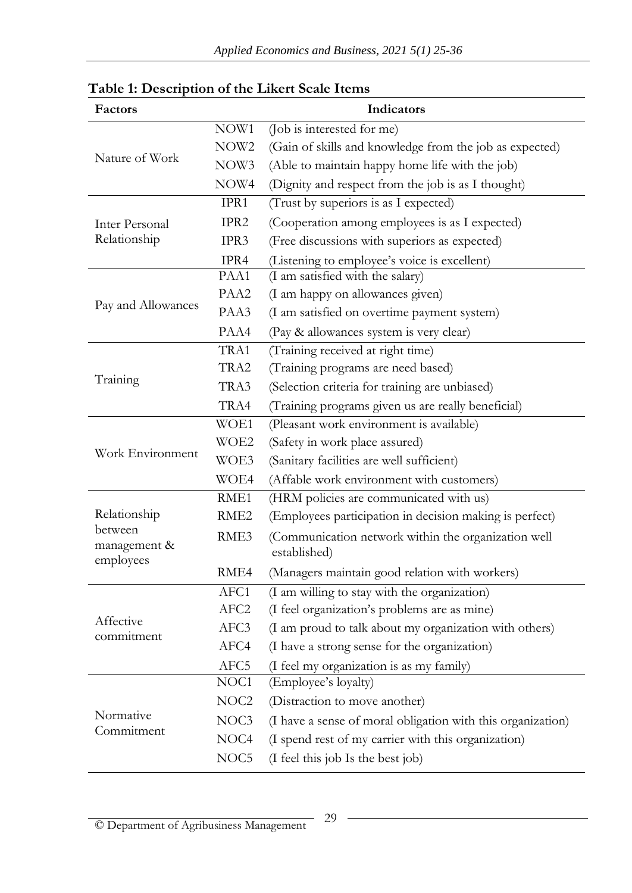| Factors                 | Indicators       |                                                             |  |
|-------------------------|------------------|-------------------------------------------------------------|--|
|                         | NOW1             | (Job is interested for me)                                  |  |
|                         | NOW <sub>2</sub> | (Gain of skills and knowledge from the job as expected)     |  |
| Nature of Work          | NOW3             | (Able to maintain happy home life with the job)             |  |
|                         | NOW4             | (Dignity and respect from the job is as I thought)          |  |
|                         | IPR1             | (Trust by superiors is as I expected)                       |  |
| <b>Inter Personal</b>   | IPR2             | (Cooperation among employees is as I expected)              |  |
| Relationship            | IPR3             | (Free discussions with superiors as expected)               |  |
|                         | IPR4             | (Listening to employee's voice is excellent)                |  |
|                         | PAA1             | (I am satisfied with the salary)                            |  |
|                         | PAA2             | (I am happy on allowances given)                            |  |
| Pay and Allowances      | PAA3             | (I am satisfied on overtime payment system)                 |  |
|                         | PAA4             | (Pay & allowances system is very clear)                     |  |
| Training                | TRA1             | (Training received at right time)                           |  |
|                         | TRA2             | (Training programs are need based)                          |  |
|                         | TRA3             | (Selection criteria for training are unbiased)              |  |
|                         | TRA4             | (Training programs given us are really beneficial)          |  |
| Work Environment        | WOE1             | (Pleasant work environment is available)                    |  |
|                         | WOE2             | (Safety in work place assured)                              |  |
|                         | WOE3             | (Sanitary facilities are well sufficient)                   |  |
|                         | WOE4             | (Affable work environment with customers)                   |  |
|                         | RME1             | (HRM policies are communicated with us)                     |  |
| Relationship            | RME <sub>2</sub> | (Employees participation in decision making is perfect)     |  |
| between<br>management & | RME3             | (Communication network within the organization well         |  |
| employees               |                  | established)                                                |  |
|                         | RME4             | (Managers maintain good relation with workers)              |  |
|                         | AFC1             | (I am willing to stay with the organization)                |  |
| Affective               | AFC <sub>2</sub> | (I feel organization's problems are as mine)                |  |
| commitment              | AFC3             | (I am proud to talk about my organization with others)      |  |
|                         | AFC4             | (I have a strong sense for the organization)                |  |
|                         | AFC5             | (I feel my organization is as my family)                    |  |
| Normative<br>Commitment | NOC <sub>1</sub> | (Employee's loyalty)                                        |  |
|                         | NOC <sub>2</sub> | (Distraction to move another)                               |  |
|                         | NOC3             | (I have a sense of moral obligation with this organization) |  |
|                         | NOC <sub>4</sub> | (I spend rest of my carrier with this organization)         |  |
|                         | NOC <sub>5</sub> | (I feel this job Is the best job)                           |  |

## **Table 1: Description of the Likert Scale Items**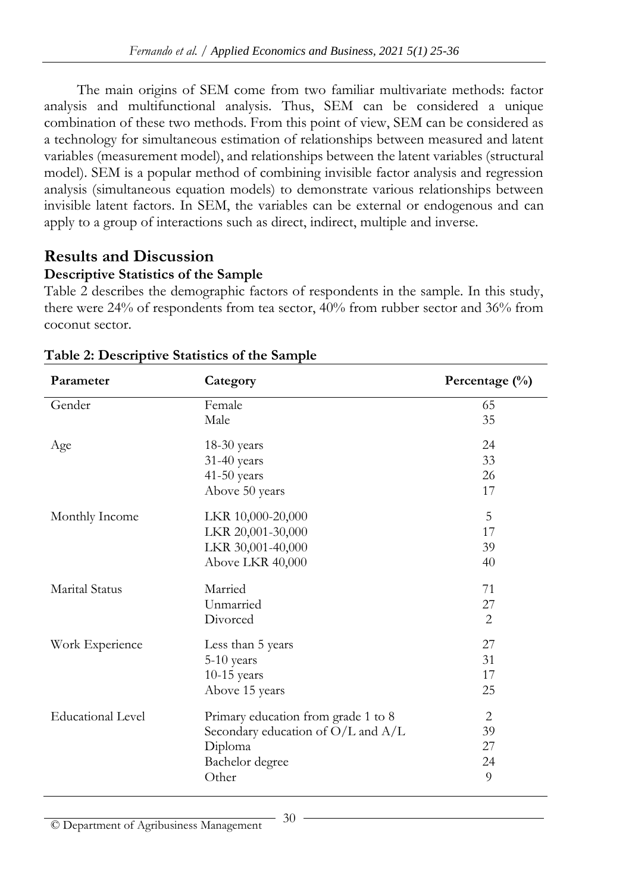The main origins of SEM come from two familiar multivariate methods: factor analysis and multifunctional analysis. Thus, SEM can be considered a unique combination of these two methods. From this point of view, SEM can be considered as a technology for simultaneous estimation of relationships between measured and latent variables (measurement model), and relationships between the latent variables (structural model). SEM is a popular method of combining invisible factor analysis and regression analysis (simultaneous equation models) to demonstrate various relationships between invisible latent factors. In SEM, the variables can be external or endogenous and can apply to a group of interactions such as direct, indirect, multiple and inverse.

# **Results and Discussion**

## **Descriptive Statistics of the Sample**

Table 2 describes the demographic factors of respondents in the sample. In this study, there were 24% of respondents from tea sector, 40% from rubber sector and 36% from coconut sector.

| Parameter                | Category                               | Percentage $(\% )$ |
|--------------------------|----------------------------------------|--------------------|
| Gender                   | Female                                 | 65                 |
|                          | Male                                   | 35                 |
| Age                      | $18-30$ years                          | 24                 |
|                          | 31-40 years                            | 33                 |
|                          | 41-50 years                            | 26                 |
|                          | Above 50 years                         | 17                 |
| Monthly Income           | LKR 10,000-20,000                      | 5                  |
|                          | LKR 20,001-30,000                      | 17                 |
|                          | LKR 30,001-40,000                      | 39                 |
|                          | Above LKR 40,000                       | 40                 |
| Marital Status           | Married                                | 71                 |
|                          | Unmarried                              | 27                 |
|                          | Divorced                               | 2                  |
| Work Experience          | Less than 5 years                      | 27                 |
|                          | 5-10 years                             | 31                 |
|                          | $10-15$ years                          | 17                 |
|                          | Above 15 years                         | 25                 |
| <b>Educational Level</b> | Primary education from grade 1 to 8    | 2                  |
|                          | Secondary education of $O/L$ and $A/L$ | 39                 |
|                          | Diploma                                | 27                 |
|                          | Bachelor degree                        | 24                 |
|                          | Other                                  | 9                  |

## **Table 2: Descriptive Statistics of the Sample**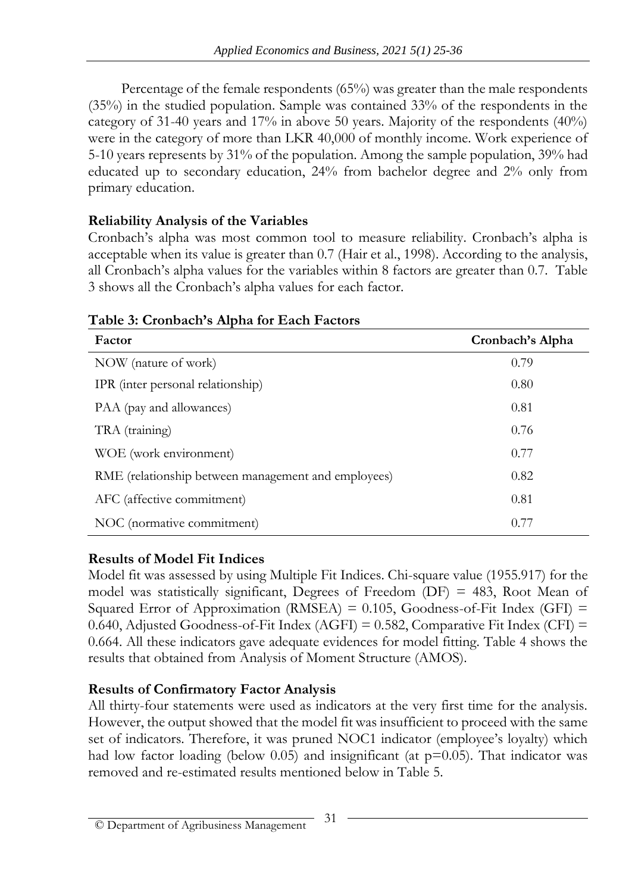Percentage of the female respondents (65%) was greater than the male respondents (35%) in the studied population. Sample was contained 33% of the respondents in the category of 31-40 years and 17% in above 50 years. Majority of the respondents (40%) were in the category of more than LKR 40,000 of monthly income. Work experience of 5-10 years represents by 31% of the population. Among the sample population, 39% had educated up to secondary education, 24% from bachelor degree and 2% only from primary education.

#### **Reliability Analysis of the Variables**

Cronbach's alpha was most common tool to measure reliability. Cronbach's alpha is acceptable when its value is greater than 0.7 (Hair et al., 1998). According to the analysis, all Cronbach's alpha values for the variables within 8 factors are greater than 0.7. Table 3 shows all the Cronbach's alpha values for each factor.

| Factor                                              | Cronbach's Alpha |
|-----------------------------------------------------|------------------|
| NOW (nature of work)                                | 0.79             |
| IPR (inter personal relationship)                   | 0.80             |
| PAA (pay and allowances)                            | 0.81             |
| TRA (training)                                      | 0.76             |
| WOE (work environment)                              | 0.77             |
| RME (relationship between management and employees) | 0.82             |
| AFC (affective commitment)                          | 0.81             |
| NOC (normative commitment)                          | 0.77             |

## **Table 3: Cronbach's Alpha for Each Factors**

## **Results of Model Fit Indices**

Model fit was assessed by using Multiple Fit Indices. Chi-square value (1955.917) for the model was statistically significant, Degrees of Freedom (DF) = 483, Root Mean of Squared Error of Approximation (RMSEA) =  $0.105$ , Goodness-of-Fit Index (GFI) = 0.640, Adjusted Goodness-of-Fit Index (AGFI) =  $0.582$ , Comparative Fit Index (CFI) = 0.664. All these indicators gave adequate evidences for model fitting. Table 4 shows the results that obtained from Analysis of Moment Structure (AMOS).

#### **Results of Confirmatory Factor Analysis**

All thirty-four statements were used as indicators at the very first time for the analysis. However, the output showed that the model fit was insufficient to proceed with the same set of indicators. Therefore, it was pruned NOC1 indicator (employee's loyalty) which had low factor loading (below 0.05) and insignificant (at  $p=0.05$ ). That indicator was removed and re-estimated results mentioned below in Table 5.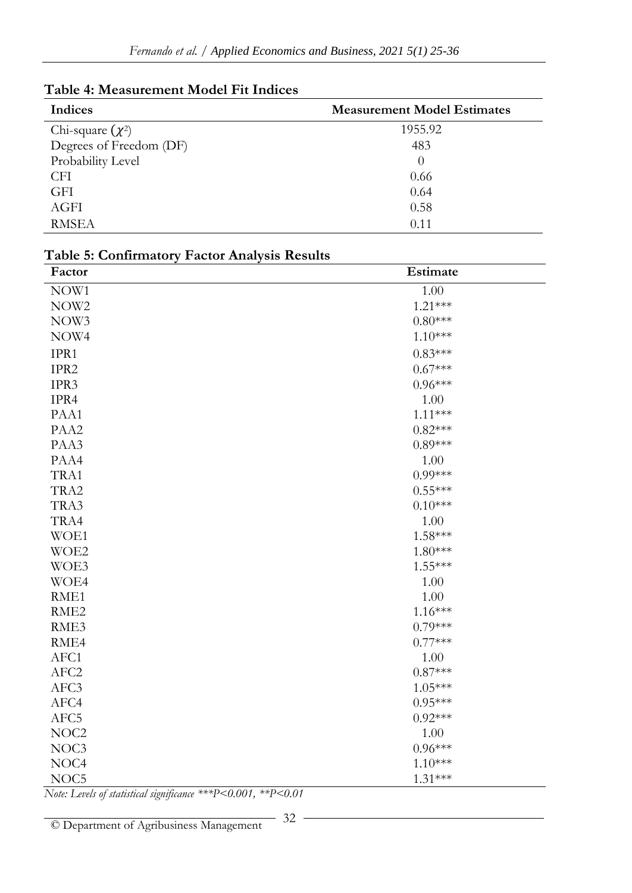| Table 4: Measurement Model Fit Indices |
|----------------------------------------|
|                                        |

| Indices                 | <b>Measurement Model Estimates</b> |
|-------------------------|------------------------------------|
| Chi-square $(\chi^2)$   | 1955.92                            |
| Degrees of Freedom (DF) | 483                                |
| Probability Level       | $\Omega$                           |
| <b>CFI</b>              | 0.66                               |
| <b>GFI</b>              | 0.64                               |
| AGFI                    | 0.58                               |
| <b>RMSEA</b>            | 0.11                               |

| Factor           | Estimate  |
|------------------|-----------|
| NOW1             | 1.00      |
| NOW <sub>2</sub> | $1.21***$ |
| NOW3             | $0.80***$ |
| NOW4             | $1.10***$ |
| IPR1             | $0.83***$ |
| IPR2             | $0.67***$ |
| IPR3             | $0.96***$ |
| IPR4             | 1.00      |
| PAA1             | $1.11***$ |
| PAA2             | $0.82***$ |
| PAA3             | $0.89***$ |
| PAA4             | 1.00      |
| TRA1             | $0.99***$ |
| TRA2             | $0.55***$ |
| TRA3             | $0.10***$ |
| TRA4             | 1.00      |
| WOE1             | $1.58***$ |
| WOE2             | 1.80***   |
| WOE3             | $1.55***$ |
| WOE4             | 1.00      |
| RME1             | 1.00      |
| RME <sub>2</sub> | $1.16***$ |
| RME3             | $0.79***$ |
| RME4             | $0.77***$ |
| AFC1             | 1.00      |
| AFC <sub>2</sub> | $0.87***$ |
| AFC3             | $1.05***$ |
| AFC4             | $0.95***$ |
| AFC5             | $0.92***$ |
| NOC <sub>2</sub> | 1.00      |
| NOC3             | $0.96***$ |
| NOC4             | $1.10***$ |
| NOC5             | $1.31***$ |

#### **Table 5: Confirmatory Factor Analysis Results**

*Note: Levels of statistical significance \*\*\*P<0.001, \*\*P<0.01*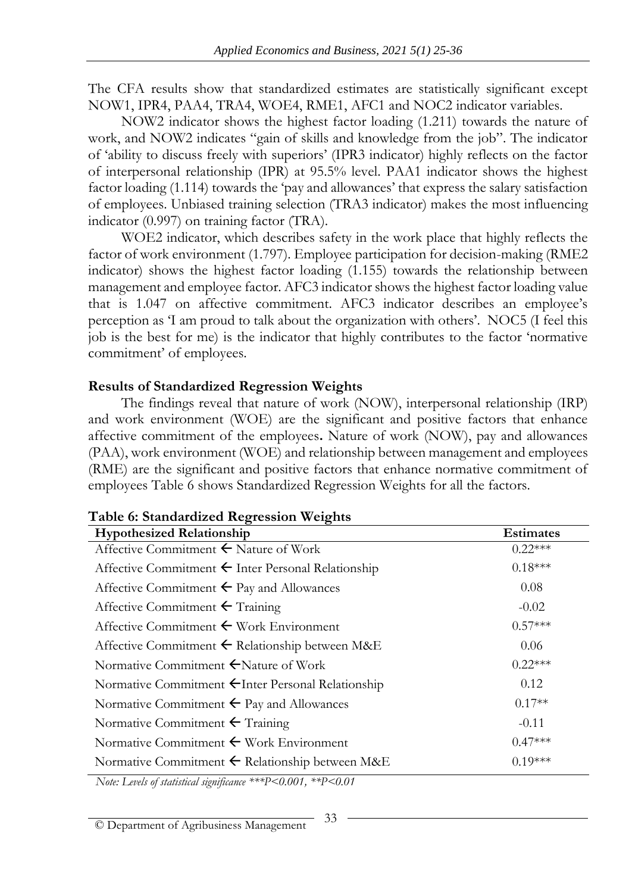The CFA results show that standardized estimates are statistically significant except NOW1, IPR4, PAA4, TRA4, WOE4, RME1, AFC1 and NOC2 indicator variables.

NOW2 indicator shows the highest factor loading (1.211) towards the nature of work, and NOW2 indicates "gain of skills and knowledge from the job". The indicator of 'ability to discuss freely with superiors' (IPR3 indicator) highly reflects on the factor of interpersonal relationship (IPR) at 95.5% level. PAA1 indicator shows the highest factor loading (1.114) towards the 'pay and allowances' that express the salary satisfaction of employees. Unbiased training selection (TRA3 indicator) makes the most influencing indicator (0.997) on training factor (TRA).

WOE2 indicator, which describes safety in the work place that highly reflects the factor of work environment (1.797). Employee participation for decision-making (RME2 indicator) shows the highest factor loading (1.155) towards the relationship between management and employee factor. AFC3 indicator shows the highest factor loading value that is 1.047 on affective commitment. AFC3 indicator describes an employee's perception as 'I am proud to talk about the organization with others'. NOC5 (I feel this job is the best for me) is the indicator that highly contributes to the factor 'normative commitment' of employees.

#### **Results of Standardized Regression Weights**

The findings reveal that nature of work (NOW), interpersonal relationship (IRP) and work environment (WOE) are the significant and positive factors that enhance affective commitment of the employees**.** Nature of work (NOW), pay and allowances (PAA), work environment (WOE) and relationship between management and employees (RME) are the significant and positive factors that enhance normative commitment of employees Table 6 shows Standardized Regression Weights for all the factors.

| <b>Hypothesized Relationship</b>                              | <b>Estimates</b> |
|---------------------------------------------------------------|------------------|
| Affective Commitment $\leftarrow$ Nature of Work              | $0.22***$        |
| Affective Commitment $\leftarrow$ Inter Personal Relationship | $0.18***$        |
| Affective Commitment $\leftarrow$ Pay and Allowances          | 0.08             |
| Affective Commitment $\leftarrow$ Training                    | $-0.02$          |
| Affective Commitment $\leftarrow$ Work Environment            | $0.57***$        |
| Affective Commitment $\leftarrow$ Relationship between M&E    | 0.06             |
| Normative Commitment ←Nature of Work                          | $0.22***$        |
| Normative Commitment ←Inter Personal Relationship             | 0.12             |
| Normative Commitment $\leftarrow$ Pay and Allowances          | $0.17**$         |
| Normative Commitment $\leftarrow$ Training                    | $-0.11$          |
| Normative Commitment $\leftarrow$ Work Environment            | $0.47***$        |
| Normative Commitment $\leftarrow$ Relationship between M&E    | $0.19***$        |

#### **Table 6: Standardized Regression Weights**

 *Note: Levels of statistical significance \*\*\*P<0.001, \*\*P<0.01*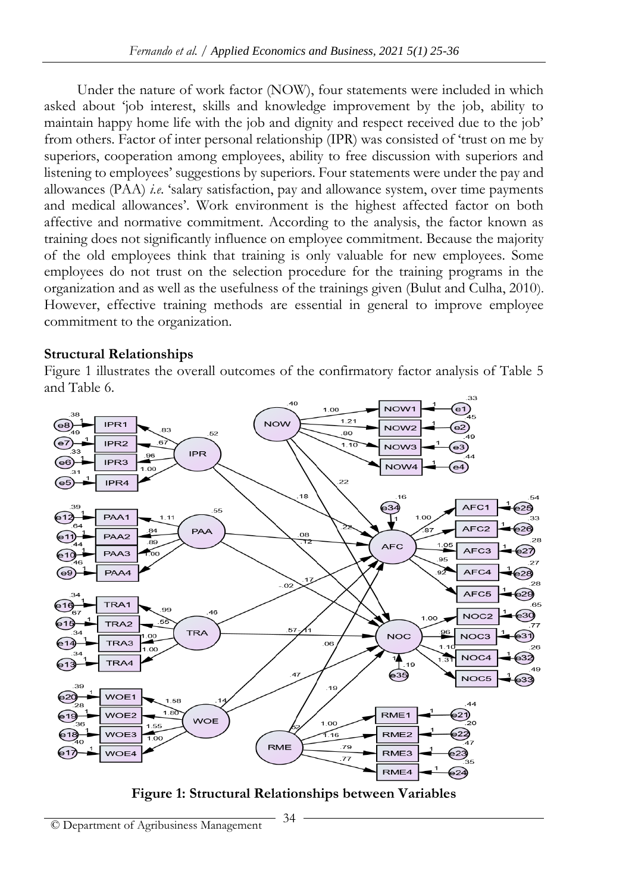Under the nature of work factor (NOW), four statements were included in which asked about 'job interest, skills and knowledge improvement by the job, ability to maintain happy home life with the job and dignity and respect received due to the job' from others. Factor of inter personal relationship (IPR) was consisted of 'trust on me by superiors, cooperation among employees, ability to free discussion with superiors and listening to employees' suggestions by superiors. Four statements were under the pay and allowances (PAA) *i.e*. 'salary satisfaction, pay and allowance system, over time payments and medical allowances'. Work environment is the highest affected factor on both affective and normative commitment. According to the analysis, the factor known as training does not significantly influence on employee commitment. Because the majority of the old employees think that training is only valuable for new employees. Some employees do not trust on the selection procedure for the training programs in the organization and as well as the usefulness of the trainings given (Bulut and Culha, 2010). However, effective training methods are essential in general to improve employee commitment to the organization.

#### **Structural Relationships**

Figure 1 illustrates the overall outcomes of the confirmatory factor analysis of Table 5 and Table 6.



**Figure 1: Structural Relationships between Variables**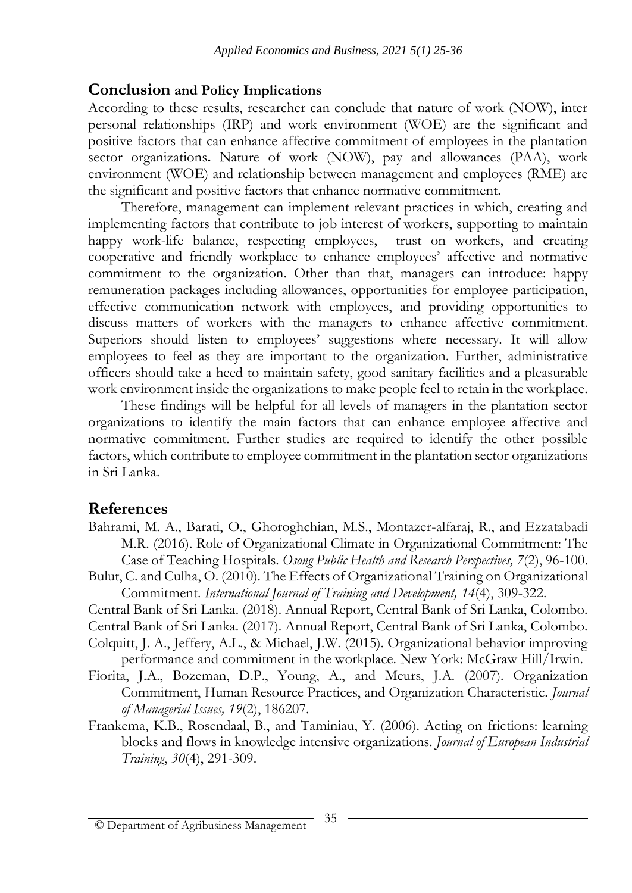## **Conclusion and Policy Implications**

According to these results, researcher can conclude that nature of work (NOW), inter personal relationships (IRP) and work environment (WOE) are the significant and positive factors that can enhance affective commitment of employees in the plantation sector organizations**.** Nature of work (NOW), pay and allowances (PAA), work environment (WOE) and relationship between management and employees (RME) are the significant and positive factors that enhance normative commitment.

Therefore, management can implement relevant practices in which, creating and implementing factors that contribute to job interest of workers, supporting to maintain happy work-life balance, respecting employees, trust on workers, and creating cooperative and friendly workplace to enhance employees' affective and normative commitment to the organization. Other than that, managers can introduce: happy remuneration packages including allowances, opportunities for employee participation, effective communication network with employees, and providing opportunities to discuss matters of workers with the managers to enhance affective commitment. Superiors should listen to employees' suggestions where necessary. It will allow employees to feel as they are important to the organization. Further, administrative officers should take a heed to maintain safety, good sanitary facilities and a pleasurable work environment inside the organizations to make people feel to retain in the workplace.

These findings will be helpful for all levels of managers in the plantation sector organizations to identify the main factors that can enhance employee affective and normative commitment. Further studies are required to identify the other possible factors, which contribute to employee commitment in the plantation sector organizations in Sri Lanka.

## **References**

- Bahrami, M. A., Barati, O., Ghoroghchian, M.S., Montazer-alfaraj, R., and Ezzatabadi M.R. (2016). Role of Organizational Climate in Organizational Commitment: The Case of Teaching Hospitals. *Osong Public Health and Research Perspectives, 7*(2), 96-100.
- Bulut, C. and Culha, O. (2010). The Effects of Organizational Training on Organizational Commitment. *International Journal of Training and Development, 14*(4), 309-322.
- Central Bank of Sri Lanka. (2018). Annual Report, Central Bank of Sri Lanka, Colombo.

Central Bank of Sri Lanka. (2017). Annual Report, Central Bank of Sri Lanka, Colombo. Colquitt, J. A., Jeffery, A.L., & Michael, J.W. (2015). Organizational behavior improving

- performance and commitment in the workplace. New York: McGraw Hill/Irwin.
- Fiorita, J.A., Bozeman, D.P., Young, A., and Meurs, J.A. (2007). Organization Commitment, Human Resource Practices, and Organization Characteristic. *Journal of Managerial Issues, 19*(2), 186207.
- Frankema, K.B., Rosendaal, B., and Taminiau, Y. (2006). Acting on frictions: learning blocks and flows in knowledge intensive organizations. *Journal of European Industrial Training*, *30*(4), 291-309.